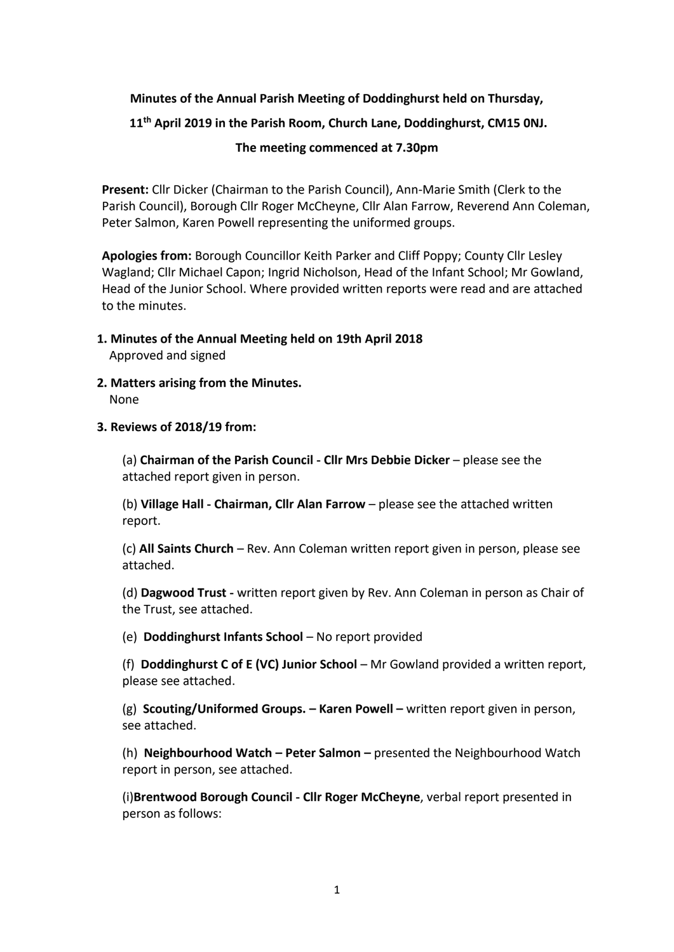# **Minutes of the Annual Parish Meeting of Doddinghurst held on Thursday, 11 th April 2019 in the Parish Room, Church Lane, Doddinghurst, CM15 0NJ. The meeting commenced at 7.30pm**

**Present:** Cllr Dicker (Chairman to the Parish Council), Ann-Marie Smith (Clerk to the Parish Council), Borough Cllr Roger McCheyne, Cllr Alan Farrow, Reverend Ann Coleman, Peter Salmon, Karen Powell representing the uniformed groups.

**Apologies from:** Borough Councillor Keith Parker and Cliff Poppy; County Cllr Lesley Wagland; Cllr Michael Capon; Ingrid Nicholson, Head of the Infant School; Mr Gowland, Head of the Junior School. Where provided written reports were read and are attached to the minutes.

- **1. Minutes of the Annual Meeting held on 19th April 2018** Approved and signed
- **2. Matters arising from the Minutes.** None
- **3. Reviews of 2018/19 from:**

(a) **Chairman of the Parish Council - Cllr Mrs Debbie Dicker** – please see the attached report given in person.

(b) **Village Hall - Chairman, Cllr Alan Farrow** – please see the attached written report.

(c) **All Saints Church** – Rev. Ann Coleman written report given in person, please see attached.

(d) **Dagwood Trust -** written report given by Rev. Ann Coleman in person as Chair of the Trust, see attached.

(e) **Doddinghurst Infants School** – No report provided

(f) **Doddinghurst C of E (VC) Junior School** – Mr Gowland provided a written report, please see attached.

(g) **Scouting/Uniformed Groups. – Karen Powell –** written report given in person, see attached.

(h) **Neighbourhood Watch – Peter Salmon –** presented the Neighbourhood Watch report in person, see attached.

(i)**Brentwood Borough Council - Cllr Roger McCheyne**, verbal report presented in person as follows: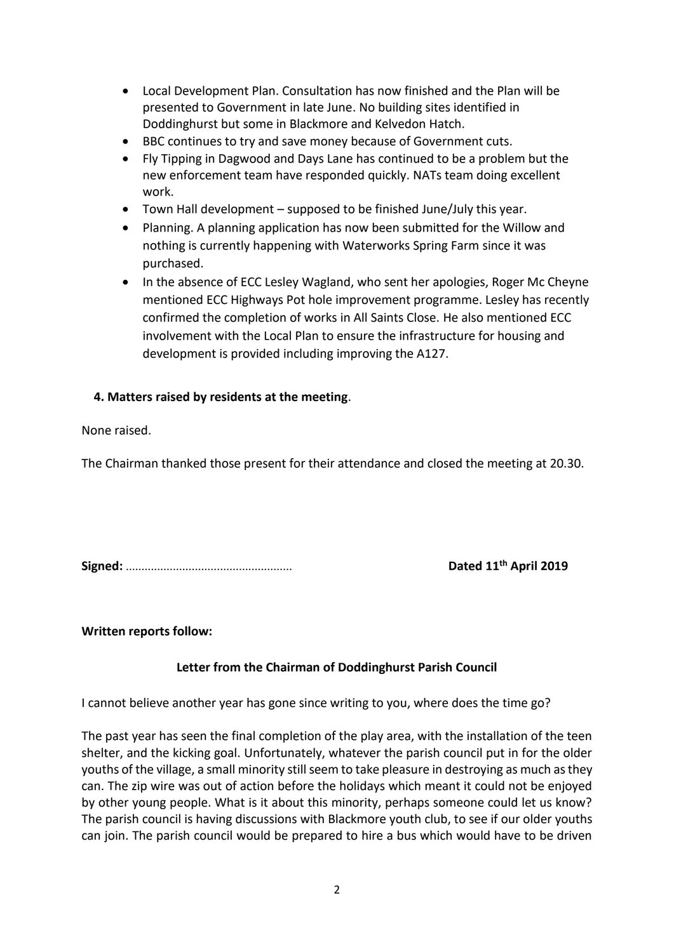- Local Development Plan. Consultation has now finished and the Plan will be presented to Government in late June. No building sites identified in Doddinghurst but some in Blackmore and Kelvedon Hatch.
- BBC continues to try and save money because of Government cuts.
- Fly Tipping in Dagwood and Days Lane has continued to be a problem but the new enforcement team have responded quickly. NATs team doing excellent work.
- Town Hall development supposed to be finished June/July this year.
- Planning. A planning application has now been submitted for the Willow and nothing is currently happening with Waterworks Spring Farm since it was purchased.
- In the absence of ECC Lesley Wagland, who sent her apologies, Roger Mc Cheyne mentioned ECC Highways Pot hole improvement programme. Lesley has recently confirmed the completion of works in All Saints Close. He also mentioned ECC involvement with the Local Plan to ensure the infrastructure for housing and development is provided including improving the A127.

# **4. Matters raised by residents at the meeting**.

None raised.

The Chairman thanked those present for their attendance and closed the meeting at 20.30.

**Signed:** ..................................................... **Dated 11**

Dated 11<sup>th</sup> April 2019

**Written reports follow:**

## **Letter from the Chairman of Doddinghurst Parish Council**

I cannot believe another year has gone since writing to you, where does the time go?

The past year has seen the final completion of the play area, with the installation of the teen shelter, and the kicking goal. Unfortunately, whatever the parish council put in for the older youths of the village, a small minority still seem to take pleasure in destroying as much as they can. The zip wire was out of action before the holidays which meant it could not be enjoyed by other young people. What is it about this minority, perhaps someone could let us know? The parish council is having discussions with Blackmore youth club, to see if our older youths can join. The parish council would be prepared to hire a bus which would have to be driven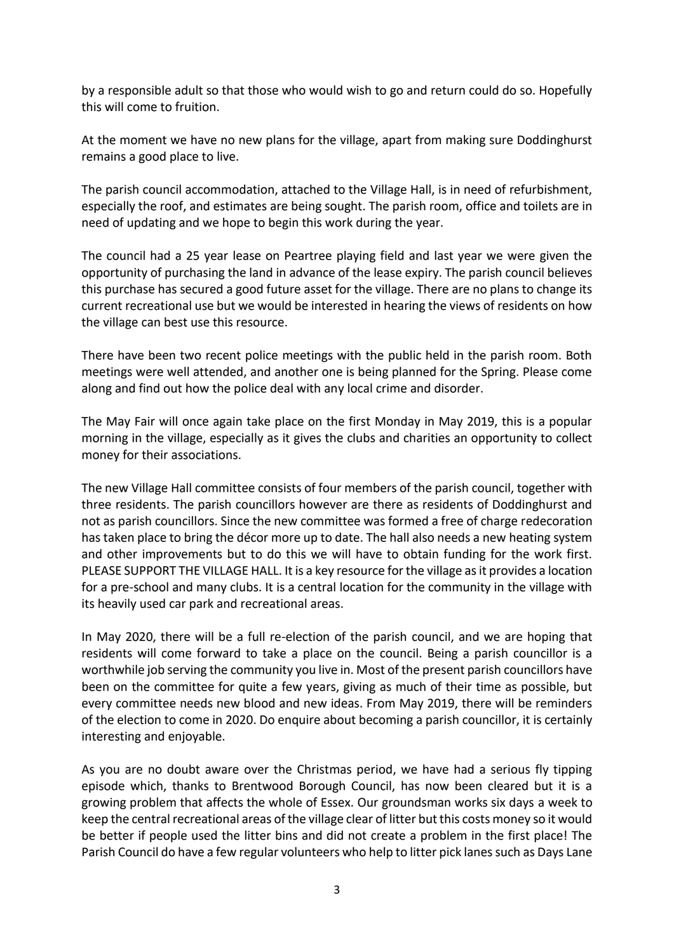by a responsible adult so that those who would wish to go and return could do so. Hopefully this will come to fruition.

At the moment we have no new plans for the village, apart from making sure Doddinghurst remains a good place to live.

The parish council accommodation, attached to the Village Hall, is in need of refurbishment, especially the roof, and estimates are being sought. The parish room, office and toilets are in need of updating and we hope to begin this work during the year.

The council had a 25 year lease on Peartree playing field and last year we were given the opportunity of purchasing the land in advance of the lease expiry. The parish council believes this purchase has secured a good future asset for the village. There are no plans to change its current recreational use but we would be interested in hearing the views of residents on how the village can best use this resource.

There have been two recent police meetings with the public held in the parish room. Both meetings were well attended, and another one is being planned for the Spring. Please come along and find out how the police deal with any local crime and disorder.

The May Fair will once again take place on the first Monday in May 2019, this is a popular morning in the village, especially as it gives the clubs and charities an opportunity to collect money for their associations.

The new Village Hall committee consists of four members of the parish council, together with three residents. The parish councillors however are there as residents of Doddinghurst and not as parish councillors. Since the new committee was formed a free of charge redecoration has taken place to bring the décor more up to date. The hall also needs a new heating system and other improvements but to do this we will have to obtain funding for the work first. PLEASE SUPPORT THE VILLAGE HALL. It is a key resource for the village as it provides a location for a pre-school and many clubs. It is a central location for the community in the village with its heavily used car park and recreational areas.

In May 2020, there will be a full re-election of the parish council, and we are hoping that residents will come forward to take a place on the council. Being a parish councillor is a worthwhile job serving the community you live in. Most of the present parish councillors have been on the committee for quite a few years, giving as much of their time as possible, but every committee needs new blood and new ideas. From May 2019, there will be reminders of the election to come in 2020. Do enquire about becoming a parish councillor, it is certainly interesting and enjoyable.

As you are no doubt aware over the Christmas period, we have had a serious fly tipping episode which, thanks to Brentwood Borough Council, has now been cleared but it is a growing problem that affects the whole of Essex. Our groundsman works six days a week to keep the central recreational areas of the village clear of litter but this costs money so it would be better if people used the litter bins and did not create a problem in the first place! The Parish Council do have a few regular volunteers who help to litter pick lanes such as Days Lane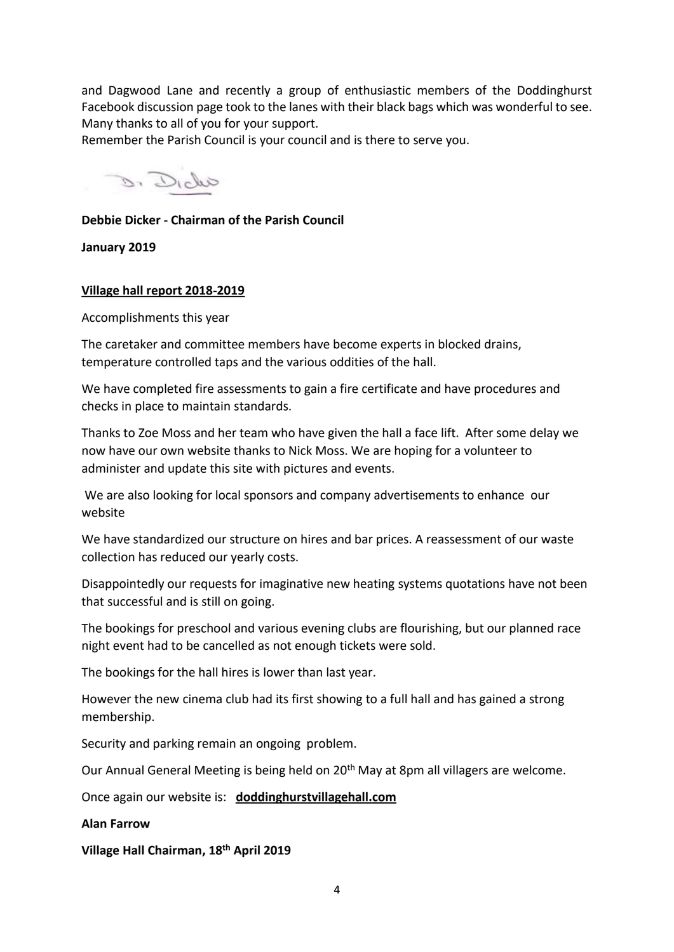and Dagwood Lane and recently a group of enthusiastic members of the Doddinghurst Facebook discussion page took to the lanes with their black bags which was wonderful to see. Many thanks to all of you for your support.

Remember the Parish Council is your council and is there to serve you.

and B.

### **Debbie Dicker - Chairman of the Parish Council**

**January 2019**

#### **Village hall report 2018-2019**

Accomplishments this year

The caretaker and committee members have become experts in blocked drains, temperature controlled taps and the various oddities of the hall.

We have completed fire assessments to gain a fire certificate and have procedures and checks in place to maintain standards.

Thanks to Zoe Moss and her team who have given the hall a face lift. After some delay we now have our own website thanks to Nick Moss. We are hoping for a volunteer to administer and update this site with pictures and events.

We are also looking for local sponsors and company advertisements to enhance our website

We have standardized our structure on hires and bar prices. A reassessment of our waste collection has reduced our yearly costs.

Disappointedly our requests for imaginative new heating systems quotations have not been that successful and is still on going.

The bookings for preschool and various evening clubs are flourishing, but our planned race night event had to be cancelled as not enough tickets were sold.

The bookings for the hall hires is lower than last year.

However the new cinema club had its first showing to a full hall and has gained a strong membership.

Security and parking remain an ongoing problem.

Our Annual General Meeting is being held on 20<sup>th</sup> May at 8pm all villagers are welcome.

Once again our website is: **doddinghurstvillagehall.com**

#### **Alan Farrow**

**Village Hall Chairman, 18th April 2019**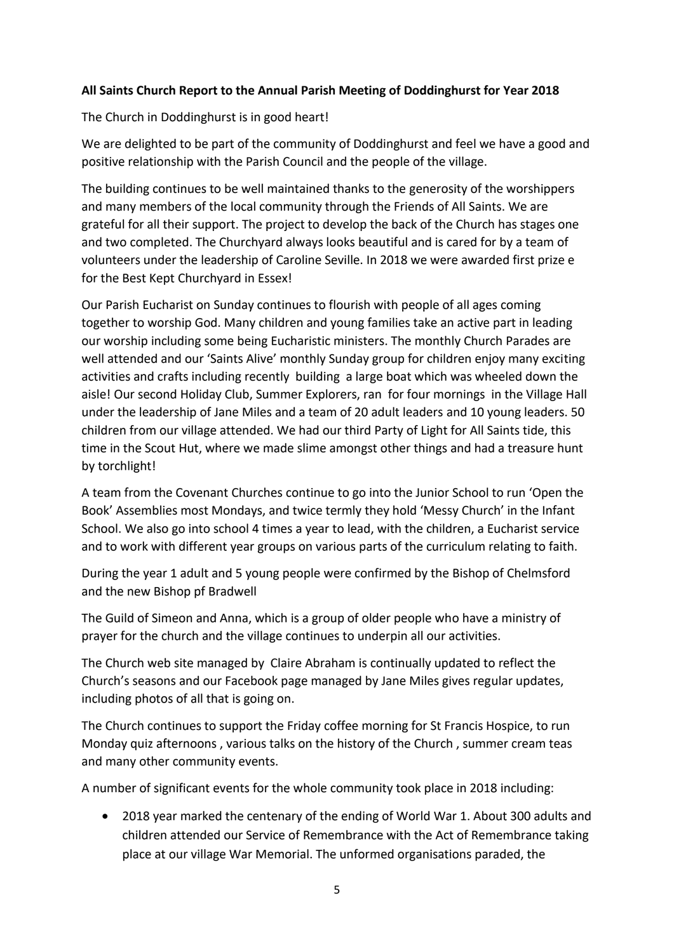## **All Saints Church Report to the Annual Parish Meeting of Doddinghurst for Year 2018**

The Church in Doddinghurst is in good heart!

We are delighted to be part of the community of Doddinghurst and feel we have a good and positive relationship with the Parish Council and the people of the village.

The building continues to be well maintained thanks to the generosity of the worshippers and many members of the local community through the Friends of All Saints. We are grateful for all their support. The project to develop the back of the Church has stages one and two completed. The Churchyard always looks beautiful and is cared for by a team of volunteers under the leadership of Caroline Seville. In 2018 we were awarded first prize e for the Best Kept Churchyard in Essex!

Our Parish Eucharist on Sunday continues to flourish with people of all ages coming together to worship God. Many children and young families take an active part in leading our worship including some being Eucharistic ministers. The monthly Church Parades are well attended and our 'Saints Alive' monthly Sunday group for children enjoy many exciting activities and crafts including recently building a large boat which was wheeled down the aisle! Our second Holiday Club, Summer Explorers, ran for four mornings in the Village Hall under the leadership of Jane Miles and a team of 20 adult leaders and 10 young leaders. 50 children from our village attended. We had our third Party of Light for All Saints tide, this time in the Scout Hut, where we made slime amongst other things and had a treasure hunt by torchlight!

A team from the Covenant Churches continue to go into the Junior School to run 'Open the Book' Assemblies most Mondays, and twice termly they hold 'Messy Church' in the Infant School. We also go into school 4 times a year to lead, with the children, a Eucharist service and to work with different year groups on various parts of the curriculum relating to faith.

During the year 1 adult and 5 young people were confirmed by the Bishop of Chelmsford and the new Bishop pf Bradwell

The Guild of Simeon and Anna, which is a group of older people who have a ministry of prayer for the church and the village continues to underpin all our activities.

The Church web site managed by Claire Abraham is continually updated to reflect the Church's seasons and our Facebook page managed by Jane Miles gives regular updates, including photos of all that is going on.

The Church continues to support the Friday coffee morning for St Francis Hospice, to run Monday quiz afternoons , various talks on the history of the Church , summer cream teas and many other community events.

A number of significant events for the whole community took place in 2018 including:

• 2018 year marked the centenary of the ending of World War 1. About 300 adults and children attended our Service of Remembrance with the Act of Remembrance taking place at our village War Memorial. The unformed organisations paraded, the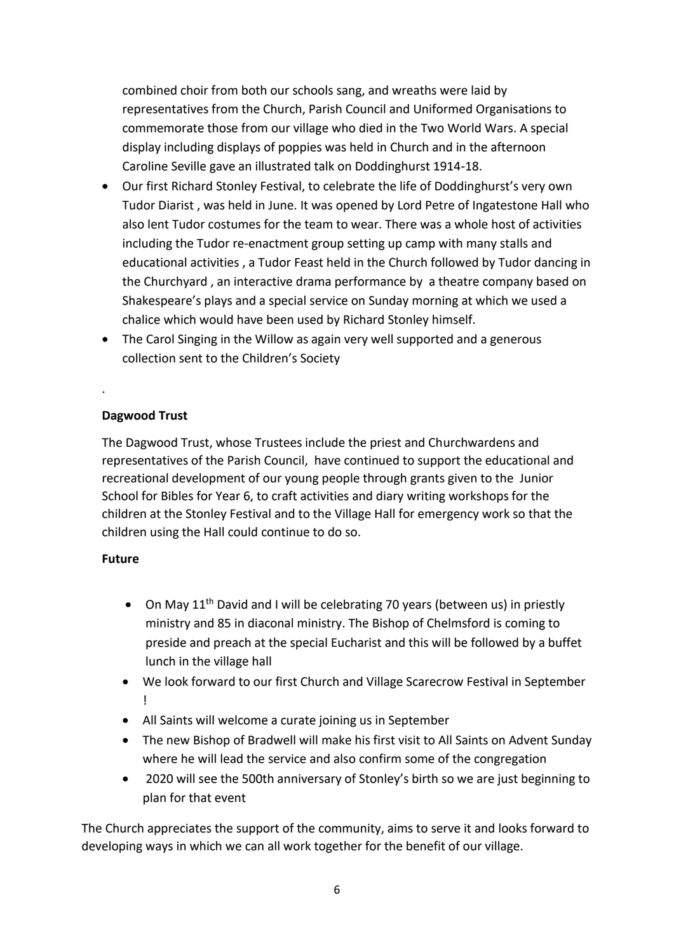combined choir from both our schools sang, and wreaths were laid by representatives from the Church, Parish Council and Uniformed Organisations to commemorate those from our village who died in the Two World Wars. A special display including displays of poppies was held in Church and in the afternoon Caroline Seville gave an illustrated talk on Doddinghurst 1914-18.

- Our first Richard Stonley Festival, to celebrate the life of Doddinghurst's very own Tudor Diarist , was held in June. It was opened by Lord Petre of Ingatestone Hall who also lent Tudor costumes for the team to wear. There was a whole host of activities including the Tudor re-enactment group setting up camp with many stalls and educational activities , a Tudor Feast held in the Church followed by Tudor dancing in the Churchyard , an interactive drama performance by a theatre company based on Shakespeare's plays and a special service on Sunday morning at which we used a chalice which would have been used by Richard Stonley himself.
- The Carol Singing in the Willow as again very well supported and a generous collection sent to the Children's Society

## **Dagwood Trust**

.

The Dagwood Trust, whose Trustees include the priest and Churchwardens and representatives of the Parish Council, have continued to support the educational and recreational development of our young people through grants given to the Junior School for Bibles for Year 6, to craft activities and diary writing workshops for the children at the Stonley Festival and to the Village Hall for emergency work so that the children using the Hall could continue to do so.

#### **Future**

- On May 11<sup>th</sup> David and I will be celebrating 70 years (between us) in priestly ministry and 85 in diaconal ministry. The Bishop of Chelmsford is coming to preside and preach at the special Eucharist and this will be followed by a buffet lunch in the village hall
- We look forward to our first Church and Village Scarecrow Festival in September !
- All Saints will welcome a curate joining us in September
- The new Bishop of Bradwell will make his first visit to All Saints on Advent Sunday where he will lead the service and also confirm some of the congregation
- 2020 will see the 500th anniversary of Stonley's birth so we are just beginning to plan for that event

The Church appreciates the support of the community, aims to serve it and looks forward to developing ways in which we can all work together for the benefit of our village.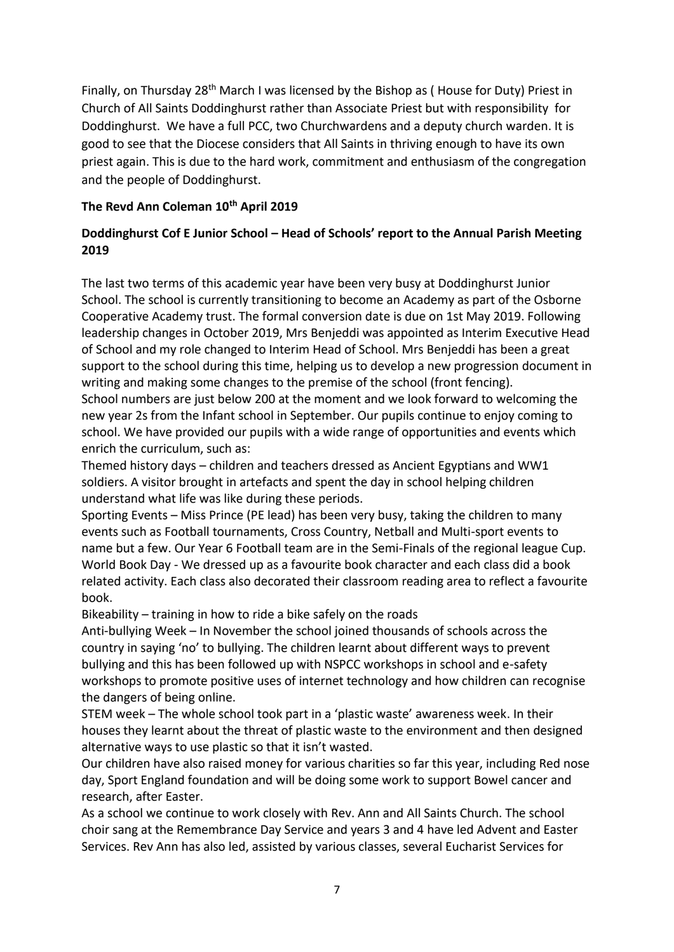Finally, on Thursday 28<sup>th</sup> March I was licensed by the Bishop as (House for Duty) Priest in Church of All Saints Doddinghurst rather than Associate Priest but with responsibility for Doddinghurst. We have a full PCC, two Churchwardens and a deputy church warden. It is good to see that the Diocese considers that All Saints in thriving enough to have its own priest again. This is due to the hard work, commitment and enthusiasm of the congregation and the people of Doddinghurst.

# **The Revd Ann Coleman 10th April 2019**

# **Doddinghurst Cof E Junior School – Head of Schools' report to the Annual Parish Meeting 2019**

The last two terms of this academic year have been very busy at Doddinghurst Junior School. The school is currently transitioning to become an Academy as part of the Osborne Cooperative Academy trust. The formal conversion date is due on 1st May 2019. Following leadership changes in October 2019, Mrs Benjeddi was appointed as Interim Executive Head of School and my role changed to Interim Head of School. Mrs Benjeddi has been a great support to the school during this time, helping us to develop a new progression document in writing and making some changes to the premise of the school (front fencing).

School numbers are just below 200 at the moment and we look forward to welcoming the new year 2s from the Infant school in September. Our pupils continue to enjoy coming to school. We have provided our pupils with a wide range of opportunities and events which enrich the curriculum, such as:

Themed history days – children and teachers dressed as Ancient Egyptians and WW1 soldiers. A visitor brought in artefacts and spent the day in school helping children understand what life was like during these periods.

Sporting Events – Miss Prince (PE lead) has been very busy, taking the children to many events such as Football tournaments, Cross Country, Netball and Multi-sport events to name but a few. Our Year 6 Football team are in the Semi-Finals of the regional league Cup. World Book Day - We dressed up as a favourite book character and each class did a book related activity. Each class also decorated their classroom reading area to reflect a favourite book.

Bikeability – training in how to ride a bike safely on the roads

Anti-bullying Week – In November the school joined thousands of schools across the country in saying 'no' to bullying. The children learnt about different ways to prevent bullying and this has been followed up with NSPCC workshops in school and e-safety workshops to promote positive uses of internet technology and how children can recognise the dangers of being online.

STEM week – The whole school took part in a 'plastic waste' awareness week. In their houses they learnt about the threat of plastic waste to the environment and then designed alternative ways to use plastic so that it isn't wasted.

Our children have also raised money for various charities so far this year, including Red nose day, Sport England foundation and will be doing some work to support Bowel cancer and research, after Easter.

As a school we continue to work closely with Rev. Ann and All Saints Church. The school choir sang at the Remembrance Day Service and years 3 and 4 have led Advent and Easter Services. Rev Ann has also led, assisted by various classes, several Eucharist Services for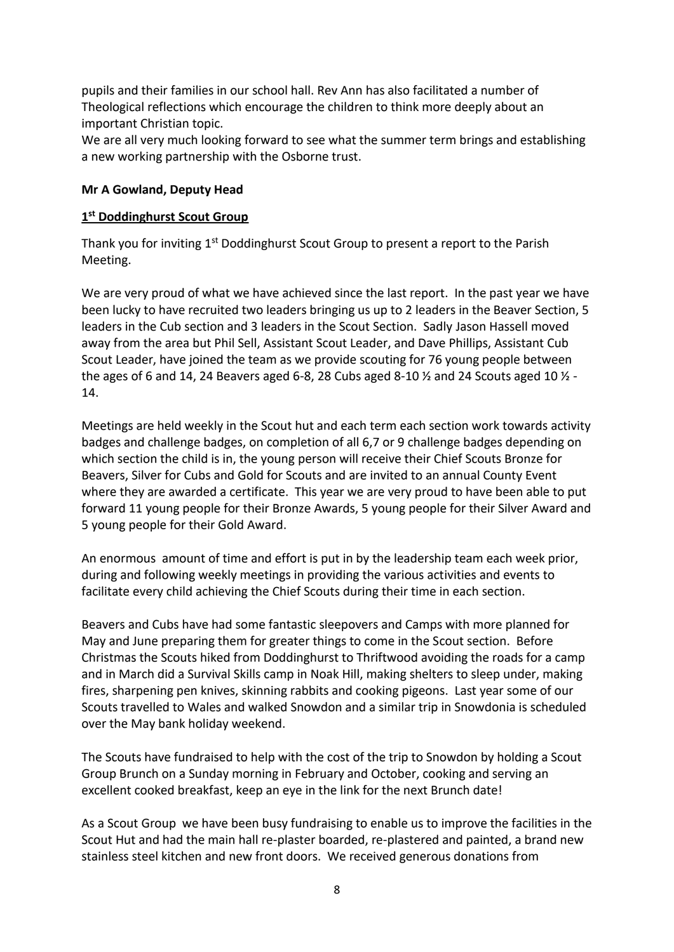pupils and their families in our school hall. Rev Ann has also facilitated a number of Theological reflections which encourage the children to think more deeply about an important Christian topic.

We are all very much looking forward to see what the summer term brings and establishing a new working partnership with the Osborne trust.

#### **Mr A Gowland, Deputy Head**

## **1 st Doddinghurst Scout Group**

Thank you for inviting 1<sup>st</sup> Doddinghurst Scout Group to present a report to the Parish Meeting.

We are very proud of what we have achieved since the last report. In the past year we have been lucky to have recruited two leaders bringing us up to 2 leaders in the Beaver Section, 5 leaders in the Cub section and 3 leaders in the Scout Section. Sadly Jason Hassell moved away from the area but Phil Sell, Assistant Scout Leader, and Dave Phillips, Assistant Cub Scout Leader, have joined the team as we provide scouting for 76 young people between the ages of 6 and 14, 24 Beavers aged 6-8, 28 Cubs aged 8-10  $\frac{1}{2}$  and 24 Scouts aged 10  $\frac{1}{2}$  -14.

Meetings are held weekly in the Scout hut and each term each section work towards activity badges and challenge badges, on completion of all 6,7 or 9 challenge badges depending on which section the child is in, the young person will receive their Chief Scouts Bronze for Beavers, Silver for Cubs and Gold for Scouts and are invited to an annual County Event where they are awarded a certificate. This year we are very proud to have been able to put forward 11 young people for their Bronze Awards, 5 young people for their Silver Award and 5 young people for their Gold Award.

An enormous amount of time and effort is put in by the leadership team each week prior, during and following weekly meetings in providing the various activities and events to facilitate every child achieving the Chief Scouts during their time in each section.

Beavers and Cubs have had some fantastic sleepovers and Camps with more planned for May and June preparing them for greater things to come in the Scout section. Before Christmas the Scouts hiked from Doddinghurst to Thriftwood avoiding the roads for a camp and in March did a Survival Skills camp in Noak Hill, making shelters to sleep under, making fires, sharpening pen knives, skinning rabbits and cooking pigeons. Last year some of our Scouts travelled to Wales and walked Snowdon and a similar trip in Snowdonia is scheduled over the May bank holiday weekend.

The Scouts have fundraised to help with the cost of the trip to Snowdon by holding a Scout Group Brunch on a Sunday morning in February and October, cooking and serving an excellent cooked breakfast, keep an eye in the link for the next Brunch date!

As a Scout Group we have been busy fundraising to enable us to improve the facilities in the Scout Hut and had the main hall re-plaster boarded, re-plastered and painted, a brand new stainless steel kitchen and new front doors. We received generous donations from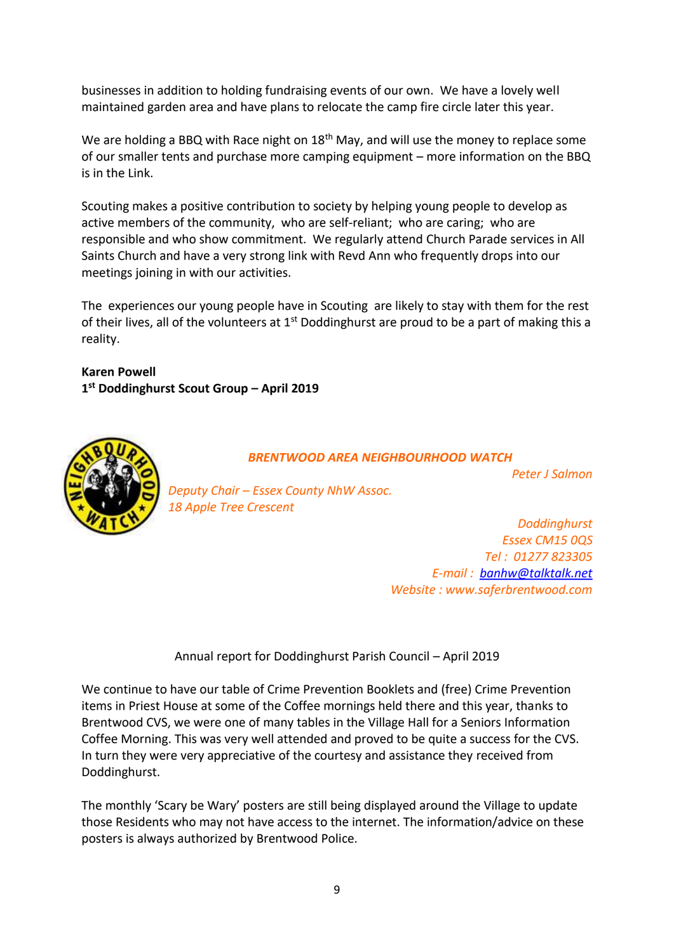businesses in addition to holding fundraising events of our own. We have a lovely well maintained garden area and have plans to relocate the camp fire circle later this year.

We are holding a BBQ with Race night on  $18<sup>th</sup>$  May, and will use the money to replace some of our smaller tents and purchase more camping equipment – more information on the BBQ is in the Link.

Scouting makes a positive contribution to society by helping young people to develop as active members of the community, who are self-reliant; who are caring; who are responsible and who show commitment. We regularly attend Church Parade services in All Saints Church and have a very strong link with Revd Ann who frequently drops into our meetings joining in with our activities.

The experiences our young people have in Scouting are likely to stay with them for the rest of their lives, all of the volunteers at  $1<sup>st</sup>$  Doddinghurst are proud to be a part of making this a reality.

**Karen Powell 1 st Doddinghurst Scout Group – April 2019**



*BRENTWOOD AREA NEIGHBOURHOOD WATCH*

*Peter J Salmon*

*Deputy Chair – Essex County NhW Assoc. 18 Apple Tree Crescent*

*Doddinghurst Essex CM15 0QS Tel : 01277 823305 E-mail : [banhw@talktalk.net](mailto:banhw@talktalk.net) Website : www.saferbrentwood.com*

Annual report for Doddinghurst Parish Council – April 2019

We continue to have our table of Crime Prevention Booklets and (free) Crime Prevention items in Priest House at some of the Coffee mornings held there and this year, thanks to Brentwood CVS, we were one of many tables in the Village Hall for a Seniors Information Coffee Morning. This was very well attended and proved to be quite a success for the CVS. In turn they were very appreciative of the courtesy and assistance they received from Doddinghurst.

The monthly 'Scary be Wary' posters are still being displayed around the Village to update those Residents who may not have access to the internet. The information/advice on these posters is always authorized by Brentwood Police.